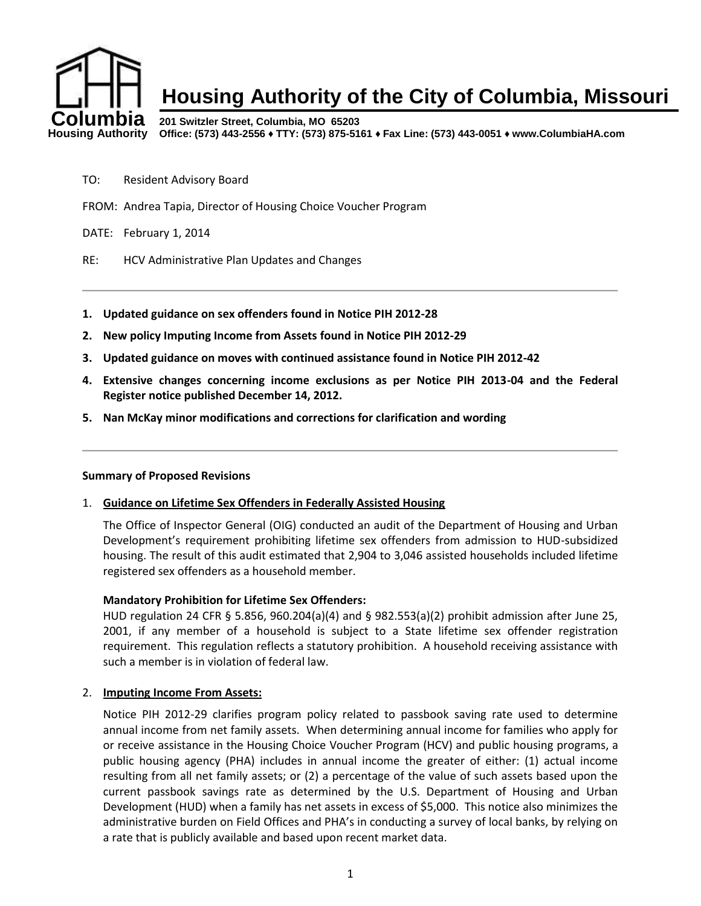

- TO: Resident Advisory Board
- FROM: Andrea Tapia, Director of Housing Choice Voucher Program

DATE: February 1, 2014

- RE: HCV Administrative Plan Updates and Changes
- **1. Updated guidance on sex offenders found in Notice PIH 2012-28**
- **2. New policy Imputing Income from Assets found in Notice PIH 2012-29**
- **3. Updated guidance on moves with continued assistance found in Notice PIH 2012-42**
- **4. Extensive changes concerning income exclusions as per Notice PIH 2013-04 and the Federal Register notice published December 14, 2012.**
- **5. Nan McKay minor modifications and corrections for clarification and wording**

#### **Summary of Proposed Revisions**

1. **Guidance on Lifetime Sex Offenders in Federally Assisted Housing**

The Office of Inspector General (OIG) conducted an audit of the Department of Housing and Urban Development's requirement prohibiting lifetime sex offenders from admission to HUD-subsidized housing. The result of this audit estimated that 2,904 to 3,046 assisted households included lifetime registered sex offenders as a household member.

# **Mandatory Prohibition for Lifetime Sex Offenders:**

HUD regulation 24 CFR § 5.856, 960.204(a)(4) and § 982.553(a)(2) prohibit admission after June 25, 2001, if any member of a household is subject to a State lifetime sex offender registration requirement. This regulation reflects a statutory prohibition. A household receiving assistance with such a member is in violation of federal law.

#### 2. **Imputing Income From Assets:**

Notice PIH 2012-29 clarifies program policy related to passbook saving rate used to determine annual income from net family assets. When determining annual income for families who apply for or receive assistance in the Housing Choice Voucher Program (HCV) and public housing programs, a public housing agency (PHA) includes in annual income the greater of either: (1) actual income resulting from all net family assets; or (2) a percentage of the value of such assets based upon the current passbook savings rate as determined by the U.S. Department of Housing and Urban Development (HUD) when a family has net assets in excess of \$5,000. This notice also minimizes the administrative burden on Field Offices and PHA's in conducting a survey of local banks, by relying on a rate that is publicly available and based upon recent market data.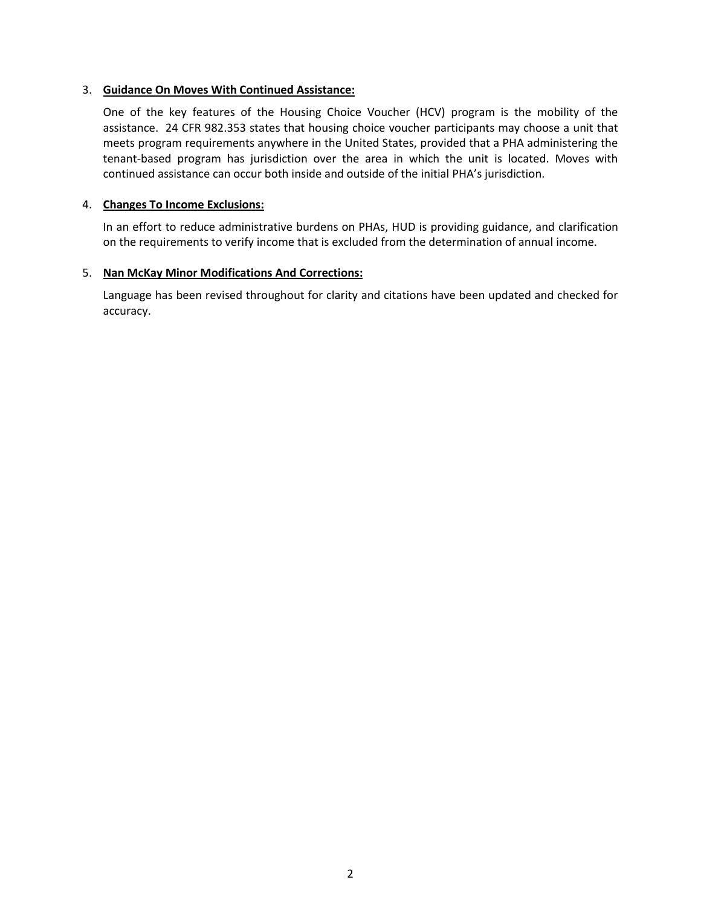# 3. **Guidance On Moves With Continued Assistance:**

One of the key features of the Housing Choice Voucher (HCV) program is the mobility of the assistance. 24 CFR 982.353 states that housing choice voucher participants may choose a unit that meets program requirements anywhere in the United States, provided that a PHA administering the tenant-based program has jurisdiction over the area in which the unit is located. Moves with continued assistance can occur both inside and outside of the initial PHA's jurisdiction.

## 4. **Changes To Income Exclusions:**

In an effort to reduce administrative burdens on PHAs, HUD is providing guidance, and clarification on the requirements to verify income that is excluded from the determination of annual income.

# 5. **Nan McKay Minor Modifications And Corrections:**

Language has been revised throughout for clarity and citations have been updated and checked for accuracy.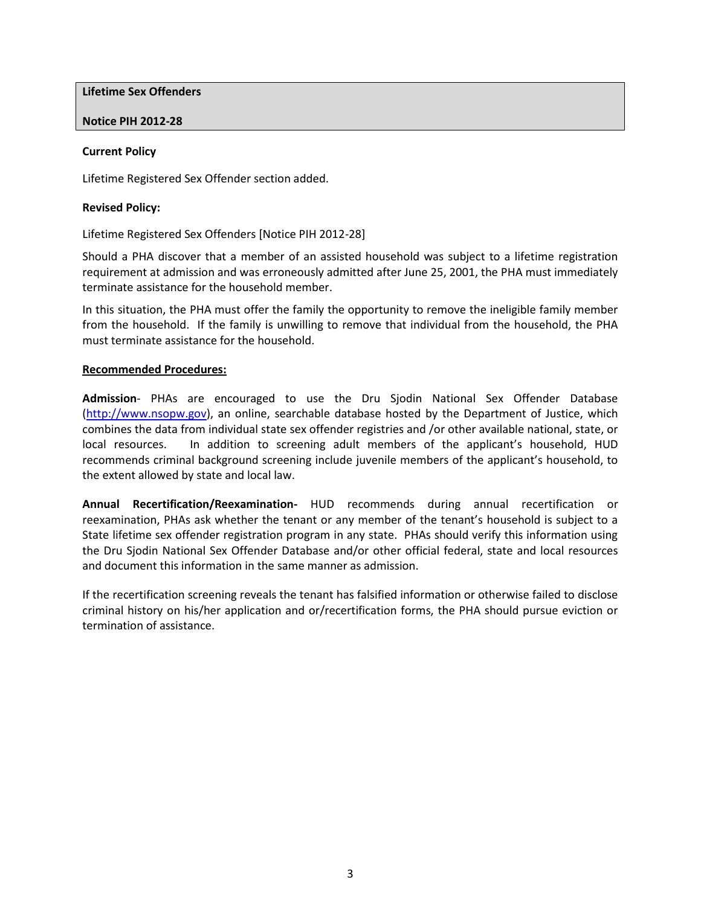**Lifetime Sex Offenders**

**Notice PIH 2012-28**

### **Current Policy**

Lifetime Registered Sex Offender section added.

#### **Revised Policy:**

Lifetime Registered Sex Offenders [Notice PIH 2012-28]

Should a PHA discover that a member of an assisted household was subject to a lifetime registration requirement at admission and was erroneously admitted after June 25, 2001, the PHA must immediately terminate assistance for the household member.

In this situation, the PHA must offer the family the opportunity to remove the ineligible family member from the household. If the family is unwilling to remove that individual from the household, the PHA must terminate assistance for the household.

#### **Recommended Procedures:**

**Admission**- PHAs are encouraged to use the Dru Sjodin National Sex Offender Database [\(http://www.nsopw.gov\)](http://www.nsopw.gov/), an online, searchable database hosted by the Department of Justice, which combines the data from individual state sex offender registries and /or other available national, state, or local resources. In addition to screening adult members of the applicant's household, HUD recommends criminal background screening include juvenile members of the applicant's household, to the extent allowed by state and local law.

**Annual Recertification/Reexamination-** HUD recommends during annual recertification or reexamination, PHAs ask whether the tenant or any member of the tenant's household is subject to a State lifetime sex offender registration program in any state. PHAs should verify this information using the Dru Sjodin National Sex Offender Database and/or other official federal, state and local resources and document this information in the same manner as admission.

If the recertification screening reveals the tenant has falsified information or otherwise failed to disclose criminal history on his/her application and or/recertification forms, the PHA should pursue eviction or termination of assistance.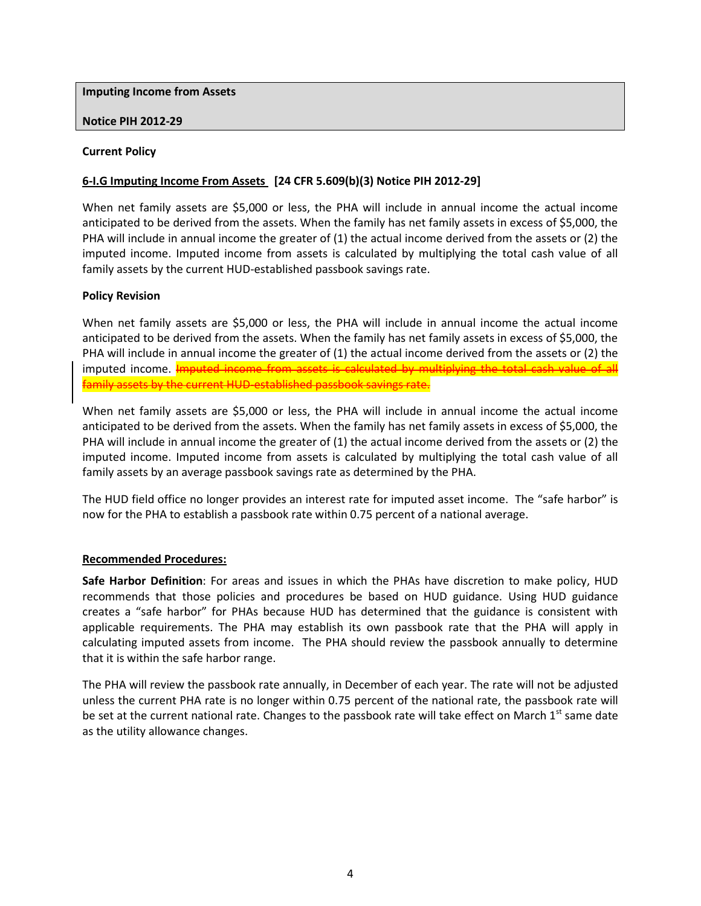**Imputing Income from Assets**

### **Notice PIH 2012-29**

### **Current Policy**

## **6-I.G Imputing Income From Assets [24 CFR 5.609(b)(3) Notice PIH 2012-29]**

When net family assets are \$5,000 or less, the PHA will include in annual income the actual income anticipated to be derived from the assets. When the family has net family assets in excess of \$5,000, the PHA will include in annual income the greater of (1) the actual income derived from the assets or (2) the imputed income. Imputed income from assets is calculated by multiplying the total cash value of all family assets by the current HUD-established passbook savings rate.

### **Policy Revision**

When net family assets are \$5,000 or less, the PHA will include in annual income the actual income anticipated to be derived from the assets. When the family has net family assets in excess of \$5,000, the PHA will include in annual income the greater of (1) the actual income derived from the assets or (2) the imputed income. Imputed income from assets is calculated by multiplying the total cash value of all family assets by the current HUD-established passbook savings rate.

When net family assets are \$5,000 or less, the PHA will include in annual income the actual income anticipated to be derived from the assets. When the family has net family assets in excess of \$5,000, the PHA will include in annual income the greater of (1) the actual income derived from the assets or (2) the imputed income. Imputed income from assets is calculated by multiplying the total cash value of all family assets by an average passbook savings rate as determined by the PHA.

The HUD field office no longer provides an interest rate for imputed asset income. The "safe harbor" is now for the PHA to establish a passbook rate within 0.75 percent of a national average.

# **Recommended Procedures:**

**Safe Harbor Definition**: For areas and issues in which the PHAs have discretion to make policy, HUD recommends that those policies and procedures be based on HUD guidance. Using HUD guidance creates a "safe harbor" for PHAs because HUD has determined that the guidance is consistent with applicable requirements. The PHA may establish its own passbook rate that the PHA will apply in calculating imputed assets from income. The PHA should review the passbook annually to determine that it is within the safe harbor range.

The PHA will review the passbook rate annually, in December of each year. The rate will not be adjusted unless the current PHA rate is no longer within 0.75 percent of the national rate, the passbook rate will be set at the current national rate. Changes to the passbook rate will take effect on March 1<sup>st</sup> same date as the utility allowance changes.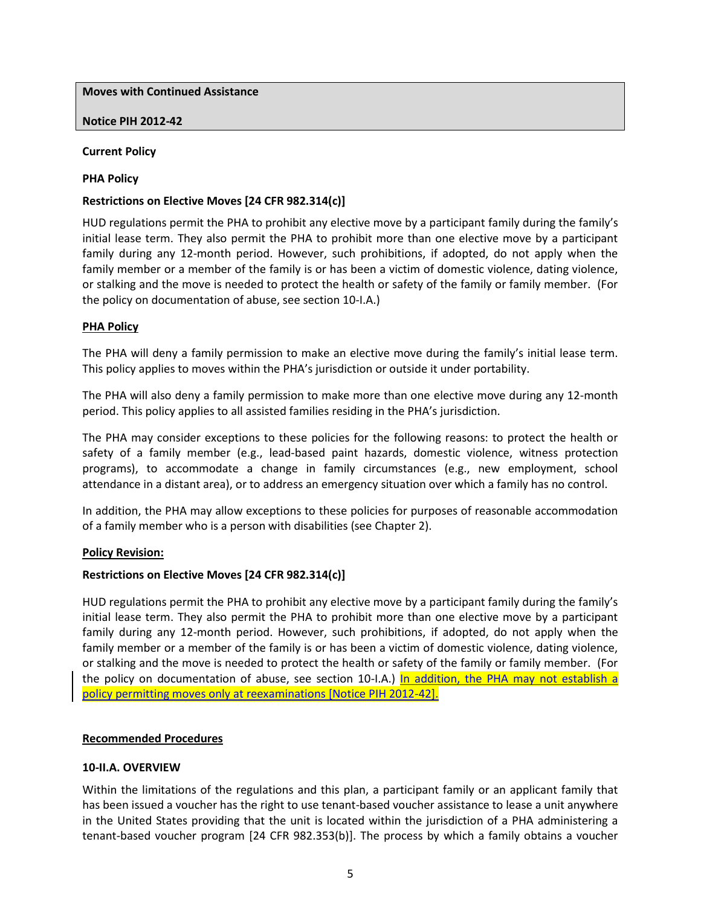**Moves with Continued Assistance**

### **Notice PIH 2012-42**

### **Current Policy**

### **PHA Policy**

### **Restrictions on Elective Moves [24 CFR 982.314(c)]**

HUD regulations permit the PHA to prohibit any elective move by a participant family during the family's initial lease term. They also permit the PHA to prohibit more than one elective move by a participant family during any 12-month period. However, such prohibitions, if adopted, do not apply when the family member or a member of the family is or has been a victim of domestic violence, dating violence, or stalking and the move is needed to protect the health or safety of the family or family member. (For the policy on documentation of abuse, see section 10-I.A.)

### **PHA Policy**

The PHA will deny a family permission to make an elective move during the family's initial lease term. This policy applies to moves within the PHA's jurisdiction or outside it under portability.

The PHA will also deny a family permission to make more than one elective move during any 12-month period. This policy applies to all assisted families residing in the PHA's jurisdiction.

The PHA may consider exceptions to these policies for the following reasons: to protect the health or safety of a family member (e.g., lead-based paint hazards, domestic violence, witness protection programs), to accommodate a change in family circumstances (e.g., new employment, school attendance in a distant area), or to address an emergency situation over which a family has no control.

In addition, the PHA may allow exceptions to these policies for purposes of reasonable accommodation of a family member who is a person with disabilities (see Chapter 2).

#### **Policy Revision:**

# **Restrictions on Elective Moves [24 CFR 982.314(c)]**

HUD regulations permit the PHA to prohibit any elective move by a participant family during the family's initial lease term. They also permit the PHA to prohibit more than one elective move by a participant family during any 12-month period. However, such prohibitions, if adopted, do not apply when the family member or a member of the family is or has been a victim of domestic violence, dating violence, or stalking and the move is needed to protect the health or safety of the family or family member. (For the policy on documentation of abuse, see section 10-I.A.) In addition, the PHA may not establish a policy permitting moves only at reexaminations [Notice PIH 2012-42].

#### **Recommended Procedures**

#### **10-II.A. OVERVIEW**

Within the limitations of the regulations and this plan, a participant family or an applicant family that has been issued a voucher has the right to use tenant-based voucher assistance to lease a unit anywhere in the United States providing that the unit is located within the jurisdiction of a PHA administering a tenant-based voucher program [24 CFR 982.353(b)]. The process by which a family obtains a voucher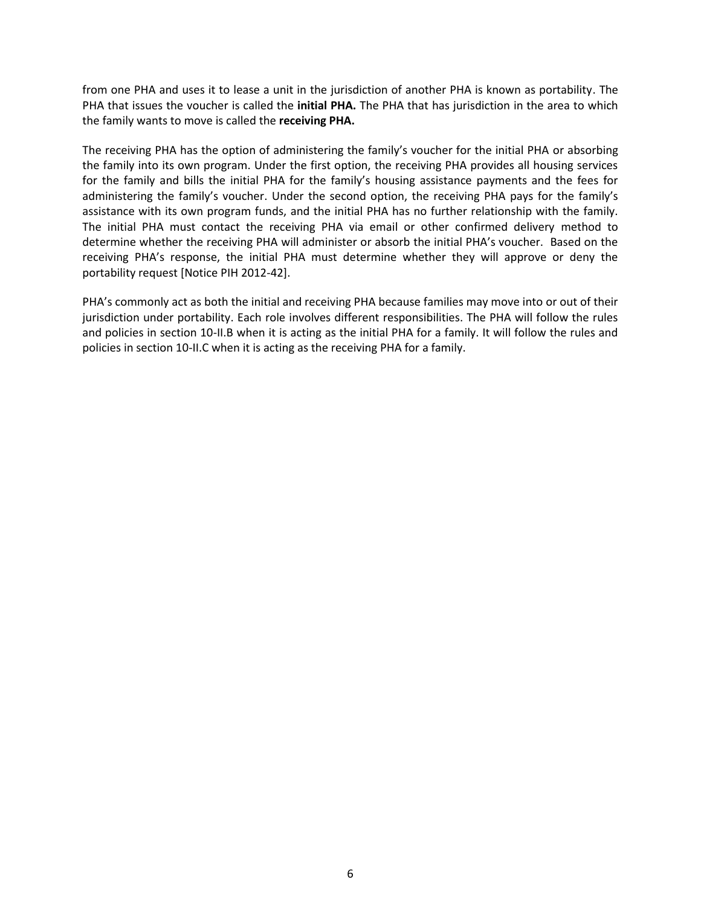from one PHA and uses it to lease a unit in the jurisdiction of another PHA is known as portability. The PHA that issues the voucher is called the **initial PHA.** The PHA that has jurisdiction in the area to which the family wants to move is called the **receiving PHA.**

The receiving PHA has the option of administering the family's voucher for the initial PHA or absorbing the family into its own program. Under the first option, the receiving PHA provides all housing services for the family and bills the initial PHA for the family's housing assistance payments and the fees for administering the family's voucher. Under the second option, the receiving PHA pays for the family's assistance with its own program funds, and the initial PHA has no further relationship with the family. The initial PHA must contact the receiving PHA via email or other confirmed delivery method to determine whether the receiving PHA will administer or absorb the initial PHA's voucher. Based on the receiving PHA's response, the initial PHA must determine whether they will approve or deny the portability request [Notice PIH 2012-42].

PHA's commonly act as both the initial and receiving PHA because families may move into or out of their jurisdiction under portability. Each role involves different responsibilities. The PHA will follow the rules and policies in section 10-II.B when it is acting as the initial PHA for a family. It will follow the rules and policies in section 10-II.C when it is acting as the receiving PHA for a family.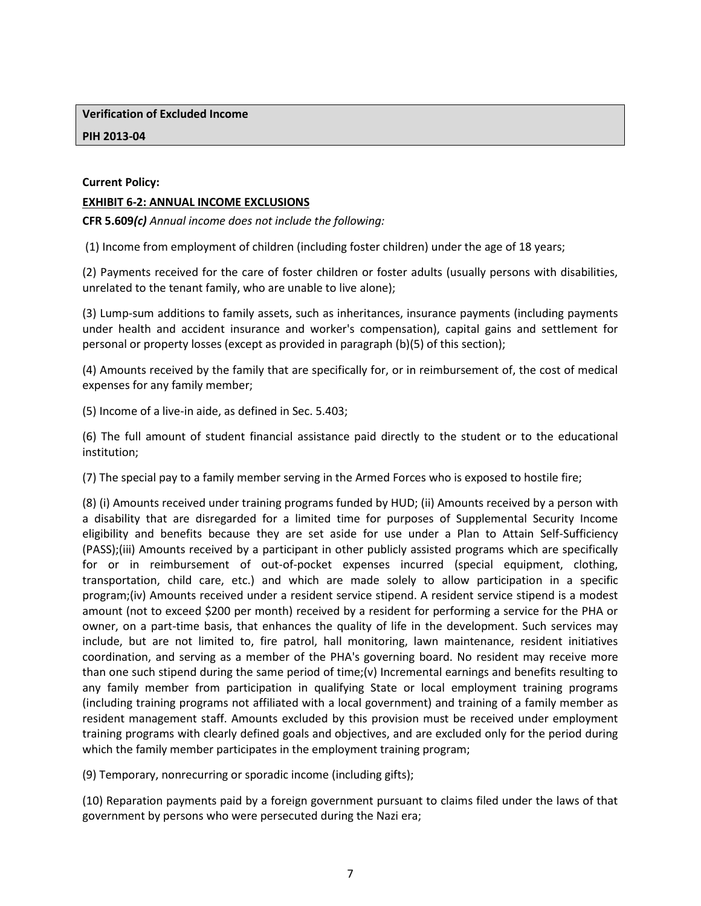**Verification of Excluded Income**

## **PIH 2013-04**

## **Current Policy:**

## **EXHIBIT 6-2: ANNUAL INCOME EXCLUSIONS**

**CFR 5.609***(c) Annual income does not include the following:*

(1) Income from employment of children (including foster children) under the age of 18 years;

(2) Payments received for the care of foster children or foster adults (usually persons with disabilities, unrelated to the tenant family, who are unable to live alone);

(3) Lump-sum additions to family assets, such as inheritances, insurance payments (including payments under health and accident insurance and worker's compensation), capital gains and settlement for personal or property losses (except as provided in paragraph (b)(5) of this section);

(4) Amounts received by the family that are specifically for, or in reimbursement of, the cost of medical expenses for any family member;

(5) Income of a live-in aide, as defined in Sec. 5.403;

(6) The full amount of student financial assistance paid directly to the student or to the educational institution;

(7) The special pay to a family member serving in the Armed Forces who is exposed to hostile fire;

(8) (i) Amounts received under training programs funded by HUD; (ii) Amounts received by a person with a disability that are disregarded for a limited time for purposes of Supplemental Security Income eligibility and benefits because they are set aside for use under a Plan to Attain Self-Sufficiency (PASS);(iii) Amounts received by a participant in other publicly assisted programs which are specifically for or in reimbursement of out-of-pocket expenses incurred (special equipment, clothing, transportation, child care, etc.) and which are made solely to allow participation in a specific program;(iv) Amounts received under a resident service stipend. A resident service stipend is a modest amount (not to exceed \$200 per month) received by a resident for performing a service for the PHA or owner, on a part-time basis, that enhances the quality of life in the development. Such services may include, but are not limited to, fire patrol, hall monitoring, lawn maintenance, resident initiatives coordination, and serving as a member of the PHA's governing board. No resident may receive more than one such stipend during the same period of time;(v) Incremental earnings and benefits resulting to any family member from participation in qualifying State or local employment training programs (including training programs not affiliated with a local government) and training of a family member as resident management staff. Amounts excluded by this provision must be received under employment training programs with clearly defined goals and objectives, and are excluded only for the period during which the family member participates in the employment training program;

(9) Temporary, nonrecurring or sporadic income (including gifts);

(10) Reparation payments paid by a foreign government pursuant to claims filed under the laws of that government by persons who were persecuted during the Nazi era;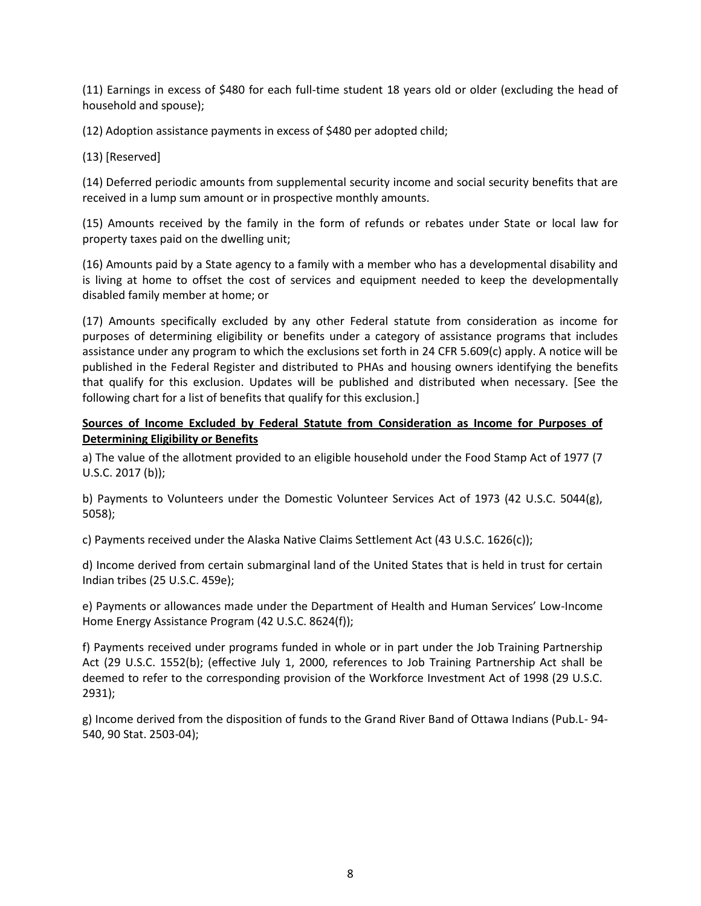(11) Earnings in excess of \$480 for each full-time student 18 years old or older (excluding the head of household and spouse);

(12) Adoption assistance payments in excess of \$480 per adopted child;

(13) [Reserved]

(14) Deferred periodic amounts from supplemental security income and social security benefits that are received in a lump sum amount or in prospective monthly amounts.

(15) Amounts received by the family in the form of refunds or rebates under State or local law for property taxes paid on the dwelling unit;

(16) Amounts paid by a State agency to a family with a member who has a developmental disability and is living at home to offset the cost of services and equipment needed to keep the developmentally disabled family member at home; or

(17) Amounts specifically excluded by any other Federal statute from consideration as income for purposes of determining eligibility or benefits under a category of assistance programs that includes assistance under any program to which the exclusions set forth in 24 CFR 5.609(c) apply. A notice will be published in the Federal Register and distributed to PHAs and housing owners identifying the benefits that qualify for this exclusion. Updates will be published and distributed when necessary. [See the following chart for a list of benefits that qualify for this exclusion.]

# **Sources of Income Excluded by Federal Statute from Consideration as Income for Purposes of Determining Eligibility or Benefits**

a) The value of the allotment provided to an eligible household under the Food Stamp Act of 1977 (7 U.S.C. 2017 (b));

b) Payments to Volunteers under the Domestic Volunteer Services Act of 1973 (42 U.S.C. 5044(g), 5058);

c) Payments received under the Alaska Native Claims Settlement Act (43 U.S.C. 1626(c));

d) Income derived from certain submarginal land of the United States that is held in trust for certain Indian tribes (25 U.S.C. 459e);

e) Payments or allowances made under the Department of Health and Human Services' Low-Income Home Energy Assistance Program (42 U.S.C. 8624(f));

f) Payments received under programs funded in whole or in part under the Job Training Partnership Act (29 U.S.C. 1552(b); (effective July 1, 2000, references to Job Training Partnership Act shall be deemed to refer to the corresponding provision of the Workforce Investment Act of 1998 (29 U.S.C. 2931);

g) Income derived from the disposition of funds to the Grand River Band of Ottawa Indians (Pub.L- 94- 540, 90 Stat. 2503-04);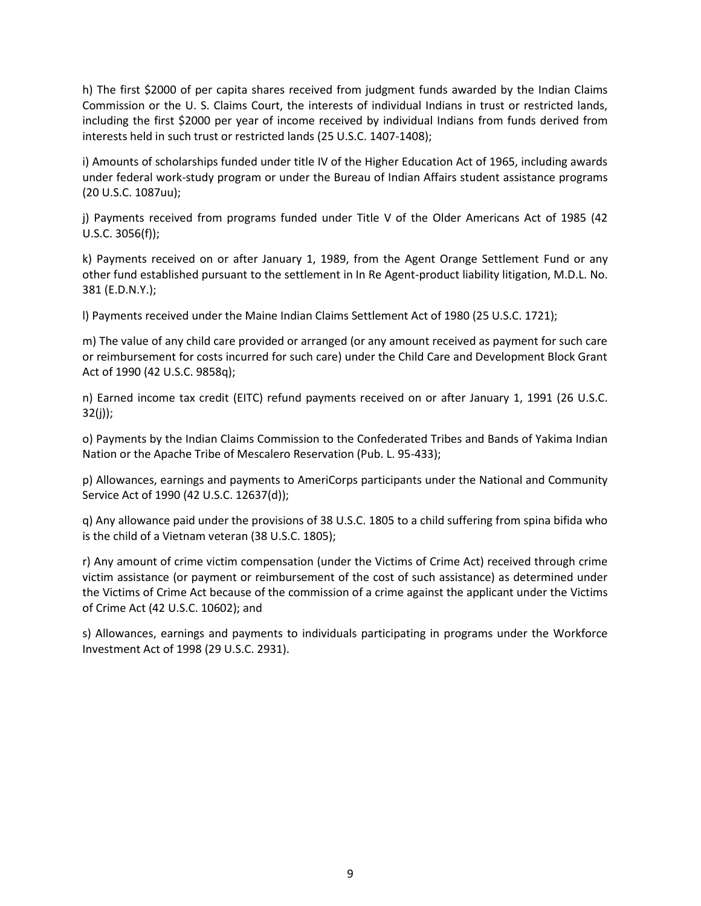h) The first \$2000 of per capita shares received from judgment funds awarded by the Indian Claims Commission or the U. S. Claims Court, the interests of individual Indians in trust or restricted lands, including the first \$2000 per year of income received by individual Indians from funds derived from interests held in such trust or restricted lands (25 U.S.C. 1407-1408);

i) Amounts of scholarships funded under title IV of the Higher Education Act of 1965, including awards under federal work-study program or under the Bureau of Indian Affairs student assistance programs (20 U.S.C. 1087uu);

j) Payments received from programs funded under Title V of the Older Americans Act of 1985 (42 U.S.C. 3056(f));

k) Payments received on or after January 1, 1989, from the Agent Orange Settlement Fund or any other fund established pursuant to the settlement in In Re Agent-product liability litigation, M.D.L. No. 381 (E.D.N.Y.);

l) Payments received under the Maine Indian Claims Settlement Act of 1980 (25 U.S.C. 1721);

m) The value of any child care provided or arranged (or any amount received as payment for such care or reimbursement for costs incurred for such care) under the Child Care and Development Block Grant Act of 1990 (42 U.S.C. 9858q);

n) Earned income tax credit (EITC) refund payments received on or after January 1, 1991 (26 U.S.C. 32(j));

o) Payments by the Indian Claims Commission to the Confederated Tribes and Bands of Yakima Indian Nation or the Apache Tribe of Mescalero Reservation (Pub. L. 95-433);

p) Allowances, earnings and payments to AmeriCorps participants under the National and Community Service Act of 1990 (42 U.S.C. 12637(d));

q) Any allowance paid under the provisions of 38 U.S.C. 1805 to a child suffering from spina bifida who is the child of a Vietnam veteran (38 U.S.C. 1805);

r) Any amount of crime victim compensation (under the Victims of Crime Act) received through crime victim assistance (or payment or reimbursement of the cost of such assistance) as determined under the Victims of Crime Act because of the commission of a crime against the applicant under the Victims of Crime Act (42 U.S.C. 10602); and

s) Allowances, earnings and payments to individuals participating in programs under the Workforce Investment Act of 1998 (29 U.S.C. 2931).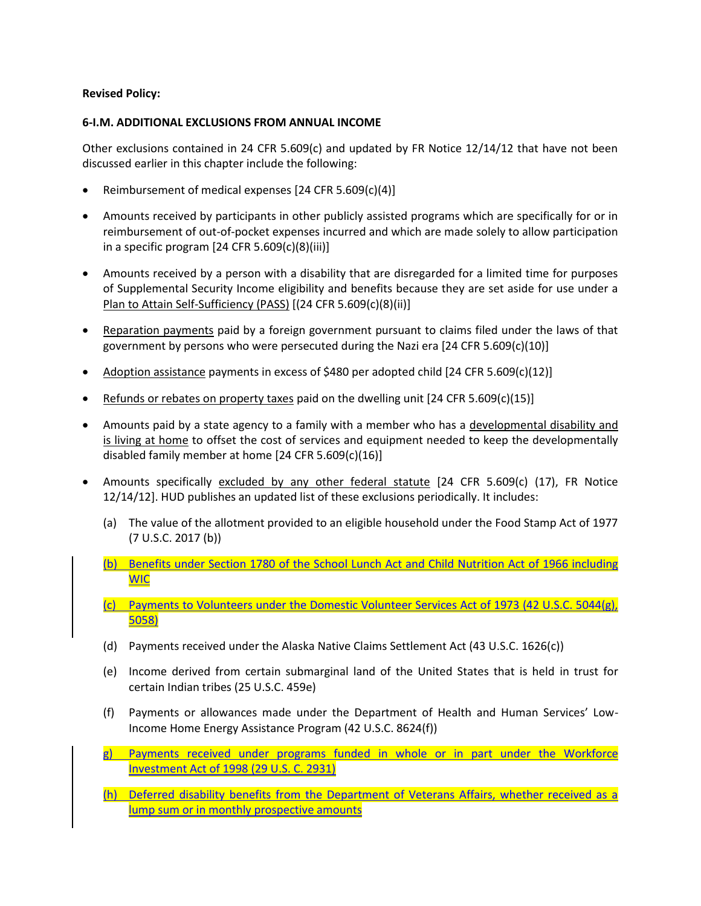## **Revised Policy:**

#### **6-I.M. ADDITIONAL EXCLUSIONS FROM ANNUAL INCOME**

Other exclusions contained in 24 CFR 5.609(c) and updated by FR Notice  $12/14/12$  that have not been discussed earlier in this chapter include the following:

- Reimbursement of medical expenses [24 CFR 5.609(c)(4)]
- Amounts received by participants in other publicly assisted programs which are specifically for or in reimbursement of out-of-pocket expenses incurred and which are made solely to allow participation in a specific program  $[24 \text{ CFR } 5.609(c)(8)(iii)]$
- Amounts received by a person with a disability that are disregarded for a limited time for purposes of Supplemental Security Income eligibility and benefits because they are set aside for use under a Plan to Attain Self-Sufficiency (PASS) [(24 CFR 5.609(c)(8)(ii)]
- Reparation payments paid by a foreign government pursuant to claims filed under the laws of that government by persons who were persecuted during the Nazi era [24 CFR 5.609(c)(10)]
- Adoption assistance payments in excess of \$480 per adopted child  $[24 \text{ CFR } 5.609(c)(12)]$
- **•** Refunds or rebates on property taxes paid on the dwelling unit  $[24 \text{ CFR } 5.609(c)(15)]$
- Amounts paid by a state agency to a family with a member who has a developmental disability and is living at home to offset the cost of services and equipment needed to keep the developmentally disabled family member at home [24 CFR 5.609(c)(16)]
- Amounts specifically excluded by any other federal statute [24 CFR 5.609(c) (17), FR Notice 12/14/12]. HUD publishes an updated list of these exclusions periodically. It includes:
	- (a) The value of the allotment provided to an eligible household under the Food Stamp Act of 1977 (7 U.S.C. 2017 (b))
	- (b) Benefits under Section 1780 of the School Lunch Act and Child Nutrition Act of 1966 including WIC
	- (c) Payments to Volunteers under the Domestic Volunteer Services Act of 1973 (42 U.S.C. 5044(g), 5058)
	- (d) Payments received under the Alaska Native Claims Settlement Act (43 U.S.C. 1626(c))
	- (e) Income derived from certain submarginal land of the United States that is held in trust for certain Indian tribes (25 U.S.C. 459e)
	- (f) Payments or allowances made under the Department of Health and Human Services' Low-Income Home Energy Assistance Program (42 U.S.C. 8624(f))
	- g) Payments received under programs funded in whole or in part under the Workforce Investment Act of 1998 (29 U.S. C. 2931)
	- (h) Deferred disability benefits from the Department of Veterans Affairs, whether received as a lump sum or in monthly prospective amounts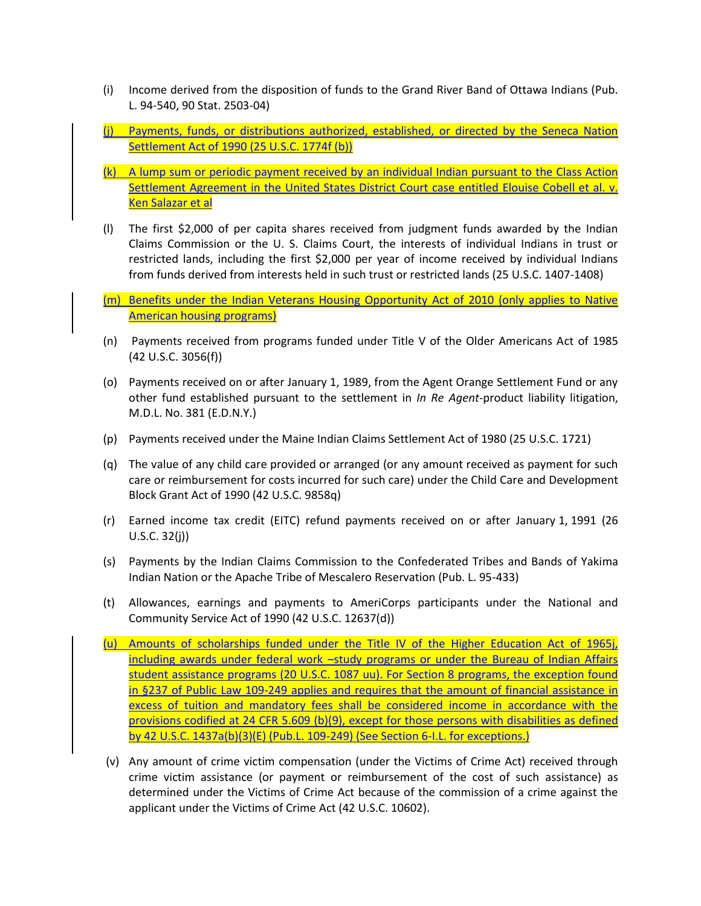- (i) Income derived from the disposition of funds to the Grand River Band of Ottawa Indians (Pub. L. 94-540, 90 Stat. 2503-04)
- (j) Payments, funds, or distributions authorized, established, or directed by the Seneca Nation Settlement Act of 1990 (25 U.S.C. 1774f (b))
- (k) A lump sum or periodic payment received by an individual Indian pursuant to the Class Action Settlement Agreement in the United States District Court case entitled Elouise Cobell et al. v. Ken Salazar et al
- (l) The first \$2,000 of per capita shares received from judgment funds awarded by the Indian Claims Commission or the U. S. Claims Court, the interests of individual Indians in trust or restricted lands, including the first \$2,000 per year of income received by individual Indians from funds derived from interests held in such trust or restricted lands (25 U.S.C. 1407-1408)
- (m) Benefits under the Indian Veterans Housing Opportunity Act of 2010 (only applies to Native American housing programs)
- (n) Payments received from programs funded under Title V of the Older Americans Act of 1985 (42 U.S.C. 3056(f))
- (o) Payments received on or after January 1, 1989, from the Agent Orange Settlement Fund or any other fund established pursuant to the settlement in *In Re Agent*-product liability litigation, M.D.L. No. 381 (E.D.N.Y.)
- (p) Payments received under the Maine Indian Claims Settlement Act of 1980 (25 U.S.C. 1721)
- (q) The value of any child care provided or arranged (or any amount received as payment for such care or reimbursement for costs incurred for such care) under the Child Care and Development Block Grant Act of 1990 (42 U.S.C. 9858q)
- (r) Earned income tax credit (EITC) refund payments received on or after January 1, 1991 (26 U.S.C. 32(j))
- (s) Payments by the Indian Claims Commission to the Confederated Tribes and Bands of Yakima Indian Nation or the Apache Tribe of Mescalero Reservation (Pub. L. 95-433)
- (t) Allowances, earnings and payments to AmeriCorps participants under the National and Community Service Act of 1990 (42 U.S.C. 12637(d))
- (u) Amounts of scholarships funded under the Title IV of the Higher Education Act of 1965j, including awards under federal work -study programs or under the Bureau of Indian Affairs student assistance programs (20 U.S.C. 1087 uu). For Section 8 programs, the exception found in §237 of Public Law 109-249 applies and requires that the amount of financial assistance in excess of tuition and mandatory fees shall be considered income in accordance with the provisions codified at 24 CFR 5.609 (b)(9), except for those persons with disabilities as defined by 42 U.S.C. 1437a(b)(3)(E) (Pub.L. 109-249) (See Section 6-I.L. for exceptions.)
- (v) Any amount of crime victim compensation (under the Victims of Crime Act) received through crime victim assistance (or payment or reimbursement of the cost of such assistance) as determined under the Victims of Crime Act because of the commission of a crime against the applicant under the Victims of Crime Act (42 U.S.C. 10602).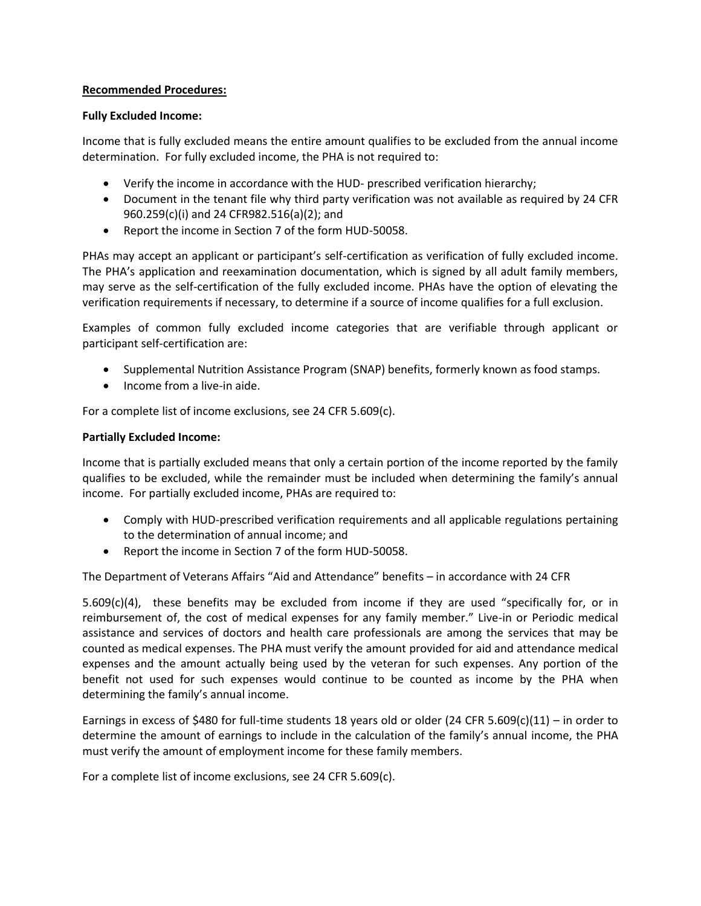# **Recommended Procedures:**

# **Fully Excluded Income:**

Income that is fully excluded means the entire amount qualifies to be excluded from the annual income determination. For fully excluded income, the PHA is not required to:

- Verify the income in accordance with the HUD- prescribed verification hierarchy;
- Document in the tenant file why third party verification was not available as required by 24 CFR 960.259(c)(i) and 24 CFR982.516(a)(2); and
- Report the income in Section 7 of the form HUD-50058.

PHAs may accept an applicant or participant's self-certification as verification of fully excluded income. The PHA's application and reexamination documentation, which is signed by all adult family members, may serve as the self-certification of the fully excluded income. PHAs have the option of elevating the verification requirements if necessary, to determine if a source of income qualifies for a full exclusion.

Examples of common fully excluded income categories that are verifiable through applicant or participant self-certification are:

- Supplemental Nutrition Assistance Program (SNAP) benefits, formerly known as food stamps.
- Income from a live-in aide.

For a complete list of income exclusions, see 24 CFR 5.609(c).

# **Partially Excluded Income:**

Income that is partially excluded means that only a certain portion of the income reported by the family qualifies to be excluded, while the remainder must be included when determining the family's annual income. For partially excluded income, PHAs are required to:

- Comply with HUD-prescribed verification requirements and all applicable regulations pertaining to the determination of annual income; and
- Report the income in Section 7 of the form HUD-50058.

The Department of Veterans Affairs "Aid and Attendance" benefits – in accordance with 24 CFR

5.609(c)(4), these benefits may be excluded from income if they are used "specifically for, or in reimbursement of, the cost of medical expenses for any family member." Live-in or Periodic medical assistance and services of doctors and health care professionals are among the services that may be counted as medical expenses. The PHA must verify the amount provided for aid and attendance medical expenses and the amount actually being used by the veteran for such expenses. Any portion of the benefit not used for such expenses would continue to be counted as income by the PHA when determining the family's annual income.

Earnings in excess of \$480 for full-time students 18 years old or older (24 CFR 5.609(c)(11) – in order to determine the amount of earnings to include in the calculation of the family's annual income, the PHA must verify the amount of employment income for these family members.

For a complete list of income exclusions, see 24 CFR 5.609(c).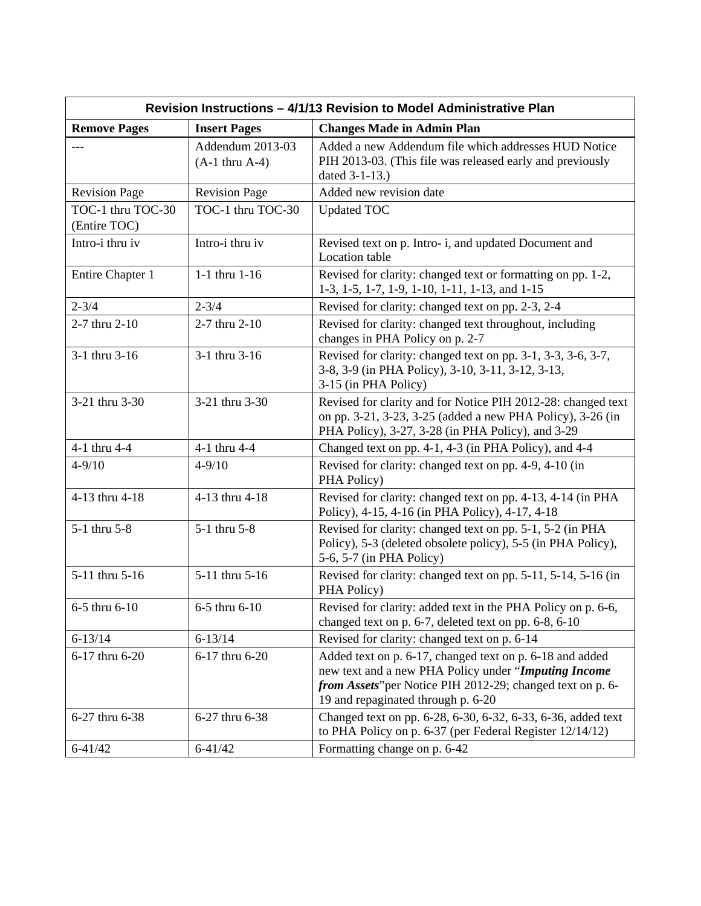| Revision Instructions - 4/1/13 Revision to Model Administrative Plan |                                         |                                                                                                                                                                                                                      |  |
|----------------------------------------------------------------------|-----------------------------------------|----------------------------------------------------------------------------------------------------------------------------------------------------------------------------------------------------------------------|--|
| <b>Remove Pages</b>                                                  | <b>Insert Pages</b>                     | <b>Changes Made in Admin Plan</b>                                                                                                                                                                                    |  |
|                                                                      | Addendum 2013-03<br>$(A-1)$ thru $A-4)$ | Added a new Addendum file which addresses HUD Notice<br>PIH 2013-03. (This file was released early and previously<br>dated 3-1-13.)                                                                                  |  |
| <b>Revision Page</b>                                                 | <b>Revision Page</b>                    | Added new revision date                                                                                                                                                                                              |  |
| TOC-1 thru TOC-30<br>(Entire TOC)                                    | TOC-1 thru TOC-30                       | <b>Updated TOC</b>                                                                                                                                                                                                   |  |
| Intro-i thru iv                                                      | Intro-i thru iv                         | Revised text on p. Intro-i, and updated Document and<br>Location table                                                                                                                                               |  |
| Entire Chapter 1                                                     | $1-1$ thru $1-16$                       | Revised for clarity: changed text or formatting on pp. 1-2,<br>1-3, 1-5, 1-7, 1-9, 1-10, 1-11, 1-13, and 1-15                                                                                                        |  |
| $2 - 3/4$                                                            | $2 - 3/4$                               | Revised for clarity: changed text on pp. 2-3, 2-4                                                                                                                                                                    |  |
| 2-7 thru 2-10                                                        | 2-7 thru 2-10                           | Revised for clarity: changed text throughout, including<br>changes in PHA Policy on p. 2-7                                                                                                                           |  |
| 3-1 thru 3-16                                                        | 3-1 thru 3-16                           | Revised for clarity: changed text on pp. 3-1, 3-3, 3-6, 3-7,<br>3-8, 3-9 (in PHA Policy), 3-10, 3-11, 3-12, 3-13,<br>3-15 (in PHA Policy)                                                                            |  |
| 3-21 thru 3-30                                                       | 3-21 thru 3-30                          | Revised for clarity and for Notice PIH 2012-28: changed text<br>on pp. 3-21, 3-23, 3-25 (added a new PHA Policy), 3-26 (in<br>PHA Policy), 3-27, 3-28 (in PHA Policy), and 3-29                                      |  |
| 4-1 thru 4-4                                                         | 4-1 thru 4-4                            | Changed text on pp. 4-1, 4-3 (in PHA Policy), and 4-4                                                                                                                                                                |  |
| $4 - 9/10$                                                           | $4 - 9/10$                              | Revised for clarity: changed text on pp. 4-9, 4-10 (in<br>PHA Policy)                                                                                                                                                |  |
| 4-13 thru 4-18                                                       | 4-13 thru 4-18                          | Revised for clarity: changed text on pp. 4-13, 4-14 (in PHA<br>Policy), 4-15, 4-16 (in PHA Policy), 4-17, 4-18                                                                                                       |  |
| 5-1 thru 5-8                                                         | 5-1 thru 5-8                            | Revised for clarity: changed text on pp. 5-1, 5-2 (in PHA<br>Policy), 5-3 (deleted obsolete policy), 5-5 (in PHA Policy),<br>5-6, 5-7 (in PHA Policy)                                                                |  |
| 5-11 thru 5-16                                                       | 5-11 thru 5-16                          | Revised for clarity: changed text on pp. 5-11, 5-14, 5-16 (in<br>PHA Policy)                                                                                                                                         |  |
| 6-5 thru 6-10                                                        | 6-5 thru 6-10                           | Revised for clarity: added text in the PHA Policy on p. 6-6,<br>changed text on p. 6-7, deleted text on pp. 6-8, 6-10                                                                                                |  |
| $6 - 13/14$                                                          | $6 - 13/14$                             | Revised for clarity: changed text on p. 6-14                                                                                                                                                                         |  |
| 6-17 thru 6-20                                                       | 6-17 thru 6-20                          | Added text on p. 6-17, changed text on p. 6-18 and added<br>new text and a new PHA Policy under "Imputing Income<br>from Assets" per Notice PIH 2012-29; changed text on p. 6-<br>19 and repaginated through p. 6-20 |  |
| 6-27 thru 6-38                                                       | 6-27 thru 6-38                          | Changed text on pp. 6-28, 6-30, 6-32, 6-33, 6-36, added text<br>to PHA Policy on p. 6-37 (per Federal Register 12/14/12)                                                                                             |  |
| $6 - 41/42$                                                          | $6 - 41/42$                             | Formatting change on p. 6-42                                                                                                                                                                                         |  |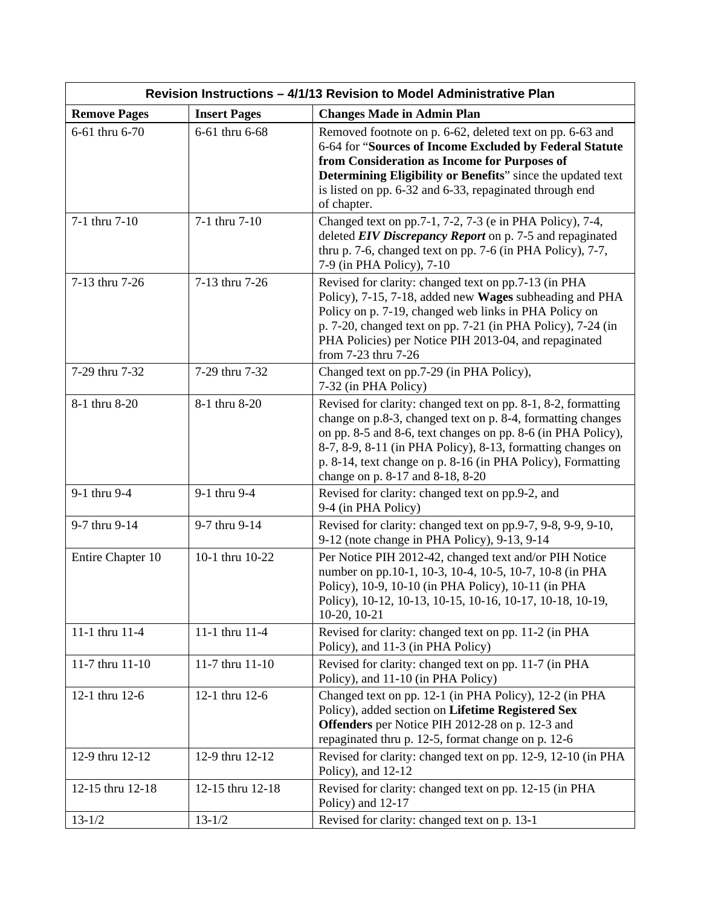| Revision Instructions - 4/1/13 Revision to Model Administrative Plan |                     |                                                                                                                                                                                                                                                                                                                                                                |  |
|----------------------------------------------------------------------|---------------------|----------------------------------------------------------------------------------------------------------------------------------------------------------------------------------------------------------------------------------------------------------------------------------------------------------------------------------------------------------------|--|
| <b>Remove Pages</b>                                                  | <b>Insert Pages</b> | <b>Changes Made in Admin Plan</b>                                                                                                                                                                                                                                                                                                                              |  |
| 6-61 thru 6-70                                                       | 6-61 thru 6-68      | Removed footnote on p. 6-62, deleted text on pp. 6-63 and<br>6-64 for "Sources of Income Excluded by Federal Statute<br>from Consideration as Income for Purposes of<br>Determining Eligibility or Benefits" since the updated text<br>is listed on pp. 6-32 and 6-33, repaginated through end<br>of chapter.                                                  |  |
| 7-1 thru 7-10                                                        | 7-1 thru 7-10       | Changed text on pp.7-1, 7-2, 7-3 (e in PHA Policy), 7-4,<br>deleted EIV Discrepancy Report on p. 7-5 and repaginated<br>thru p. 7-6, changed text on pp. 7-6 (in PHA Policy), 7-7,<br>7-9 (in PHA Policy), 7-10                                                                                                                                                |  |
| 7-13 thru 7-26                                                       | 7-13 thru 7-26      | Revised for clarity: changed text on pp.7-13 (in PHA<br>Policy), 7-15, 7-18, added new Wages subheading and PHA<br>Policy on p. 7-19, changed web links in PHA Policy on<br>p. 7-20, changed text on pp. 7-21 (in PHA Policy), 7-24 (in<br>PHA Policies) per Notice PIH 2013-04, and repaginated<br>from 7-23 thru 7-26                                        |  |
| 7-29 thru 7-32                                                       | 7-29 thru 7-32      | Changed text on pp.7-29 (in PHA Policy),<br>7-32 (in PHA Policy)                                                                                                                                                                                                                                                                                               |  |
| 8-1 thru 8-20                                                        | 8-1 thru 8-20       | Revised for clarity: changed text on pp. 8-1, 8-2, formatting<br>change on p.8-3, changed text on p. 8-4, formatting changes<br>on pp. 8-5 and 8-6, text changes on pp. 8-6 (in PHA Policy),<br>8-7, 8-9, 8-11 (in PHA Policy), 8-13, formatting changes on<br>p. 8-14, text change on p. 8-16 (in PHA Policy), Formatting<br>change on p. 8-17 and 8-18, 8-20 |  |
| 9-1 thru 9-4                                                         | 9-1 thru 9-4        | Revised for clarity: changed text on pp.9-2, and<br>9-4 (in PHA Policy)                                                                                                                                                                                                                                                                                        |  |
| 9-7 thru 9-14                                                        | 9-7 thru 9-14       | Revised for clarity: changed text on pp.9-7, 9-8, 9-9, 9-10,<br>9-12 (note change in PHA Policy), 9-13, 9-14                                                                                                                                                                                                                                                   |  |
| Entire Chapter 10                                                    | 10-1 thru 10-22     | Per Notice PIH 2012-42, changed text and/or PIH Notice<br>number on pp.10-1, 10-3, 10-4, 10-5, 10-7, 10-8 (in PHA<br>Policy), 10-9, 10-10 (in PHA Policy), 10-11 (in PHA<br>Policy), 10-12, 10-13, 10-15, 10-16, 10-17, 10-18, 10-19,<br>10-20, 10-21                                                                                                          |  |
| 11-1 thru 11-4                                                       | 11-1 thru 11-4      | Revised for clarity: changed text on pp. 11-2 (in PHA<br>Policy), and 11-3 (in PHA Policy)                                                                                                                                                                                                                                                                     |  |
| 11-7 thru 11-10                                                      | 11-7 thru 11-10     | Revised for clarity: changed text on pp. 11-7 (in PHA<br>Policy), and 11-10 (in PHA Policy)                                                                                                                                                                                                                                                                    |  |
| 12-1 thru 12-6                                                       | 12-1 thru 12-6      | Changed text on pp. 12-1 (in PHA Policy), 12-2 (in PHA<br>Policy), added section on Lifetime Registered Sex<br><b>Offenders</b> per Notice PIH 2012-28 on p. 12-3 and<br>repaginated thru p. 12-5, format change on p. 12-6                                                                                                                                    |  |
| 12-9 thru 12-12                                                      | 12-9 thru 12-12     | Revised for clarity: changed text on pp. 12-9, 12-10 (in PHA<br>Policy), and $12-12$                                                                                                                                                                                                                                                                           |  |
| 12-15 thru 12-18                                                     | 12-15 thru 12-18    | Revised for clarity: changed text on pp. 12-15 (in PHA<br>Policy) and 12-17                                                                                                                                                                                                                                                                                    |  |
| $13 - 1/2$                                                           | $13 - 1/2$          | Revised for clarity: changed text on p. 13-1                                                                                                                                                                                                                                                                                                                   |  |